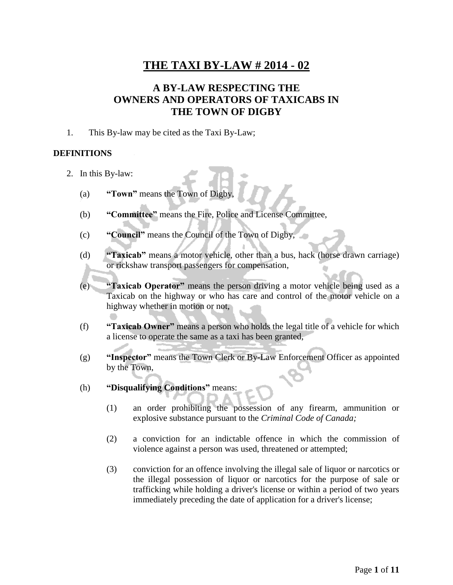### **A BY-LAW RESPECTING THE OWNERS AND OPERATORS OF TAXICABS IN THE TOWN OF DIGBY**

1. This By-law may be cited as the Taxi By-Law;

#### **DEFINITIONS**

- 2. In this By-law:
	- (a) **"Town"** means the Town of Digby,
	- (b) **"Committee"** means the Fire, Police and License Committee,
	- (c) **"Council"** means the Council of the Town of Digby,
	- (d) **"Taxicab"** means a motor vehicle, other than a bus, hack (horse drawn carriage) or rickshaw transport passengers for compensation,
	- (e) **"Taxicab Operator"** means the person driving a motor vehicle being used as a Taxicab on the highway or who has care and control of the motor vehicle on a highway whether in motion or not,
	- (f) **"Taxicab Owner"** means a person who holds the legal title of a vehicle for which a license to operate the same as a taxi has been granted,
	- (g) **"Inspector"** means the Town Clerk or By-Law Enforcement Officer as appointed by the Town,
	- (h) **"Disqualifying Conditions"** means:
		- (1) an order prohibiting the possession of any firearm, ammunition or explosive substance pursuant to the *Criminal Code of Canada;*
		- (2) a conviction for an indictable offence in which the commission of violence against a person was used, threatened or attempted;
		- (3) conviction for an offence involving the illegal sale of liquor or narcotics or the illegal possession of liquor or narcotics for the purpose of sale or trafficking while holding a driver's license or within a period of two years immediately preceding the date of application for a driver's license;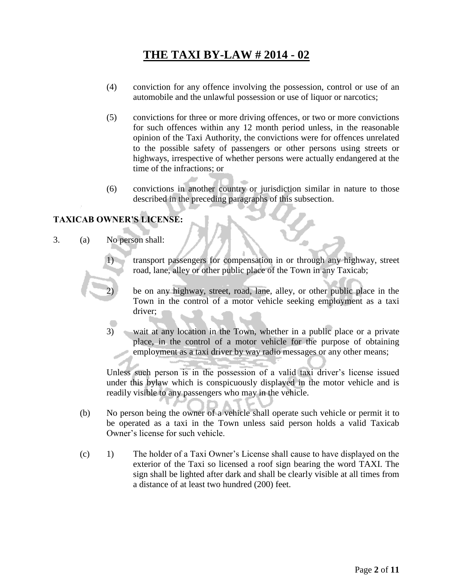- (4) conviction for any offence involving the possession, control or use of an automobile and the unlawful possession or use of liquor or narcotics;
- (5) convictions for three or more driving offences, or two or more convictions for such offences within any 12 month period unless, in the reasonable opinion of the Taxi Authority, the convictions were for offences unrelated to the possible safety of passengers or other persons using streets or highways, irrespective of whether persons were actually endangered at the time of the infractions; or
- (6) convictions in another country or jurisdiction similar in nature to those described in the preceding paragraphs of this subsection.

### **TAXICAB OWNER'S LICENSE:**

3. (a) No person shall:

1) transport passengers for compensation in or through any highway, street road, lane, alley or other public place of the Town in any Taxicab;

2) be on any highway, street, road, lane, alley, or other public place in the Town in the control of a motor vehicle seeking employment as a taxi driver;

3) wait at any location in the Town, whether in a public place or a private place, in the control of a motor vehicle for the purpose of obtaining employment as a taxi driver by way radio messages or any other means;

Unless such person is in the possession of a valid taxi driver's license issued under this bylaw which is conspicuously displayed in the motor vehicle and is readily visible to any passengers who may in the vehicle.

- (b) No person being the owner of a vehicle shall operate such vehicle or permit it to be operated as a taxi in the Town unless said person holds a valid Taxicab Owner's license for such vehicle.
- (c) 1) The holder of a Taxi Owner's License shall cause to have displayed on the exterior of the Taxi so licensed a roof sign bearing the word TAXI. The sign shall be lighted after dark and shall be clearly visible at all times from a distance of at least two hundred (200) feet.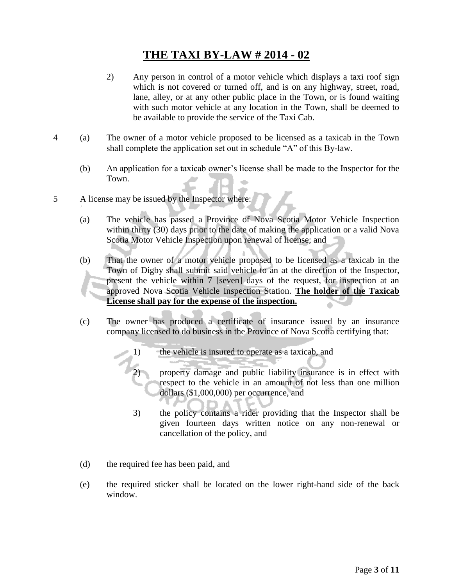- 2) Any person in control of a motor vehicle which displays a taxi roof sign which is not covered or turned off, and is on any highway, street, road, lane, alley, or at any other public place in the Town, or is found waiting with such motor vehicle at any location in the Town, shall be deemed to be available to provide the service of the Taxi Cab.
- 4 (a) The owner of a motor vehicle proposed to be licensed as a taxicab in the Town shall complete the application set out in schedule "A" of this By-law.
	- (b) An application for a taxicab owner's license shall be made to the Inspector for the Town.
- 5 A license may be issued by the Inspector where:
	- (a) The vehicle has passed a Province of Nova Scotia Motor Vehicle Inspection within thirty (30) days prior to the date of making the application or a valid Nova Scotia Motor Vehicle Inspection upon renewal of license; and
	- (b) That the owner of a motor vehicle proposed to be licensed as a taxicab in the Town of Digby shall submit said vehicle to an at the direction of the Inspector, present the vehicle within 7 [seven] days of the request, for inspection at an approved Nova Scotia Vehicle Inspection Station. **The holder of the Taxicab License shall pay for the expense of the inspection.**
	- (c) The owner has produced a certificate of insurance issued by an insurance company licensed to do business in the Province of Nova Scotia certifying that:
		- 1) the vehicle is insured to operate as a taxicab, and
			- 2) property damage and public liability insurance is in effect with respect to the vehicle in an amount of not less than one million dollars (\$1,000,000) per occurrence, and
		- 3) the policy contains a rider providing that the Inspector shall be given fourteen days written notice on any non-renewal or cancellation of the policy, and
	- (d) the required fee has been paid, and
	- (e) the required sticker shall be located on the lower right-hand side of the back window.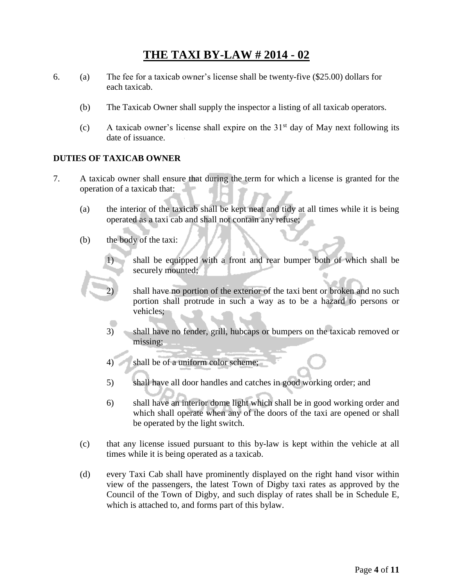- 6. (a) The fee for a taxicab owner's license shall be twenty-five (\$25.00) dollars for each taxicab.
	- (b) The Taxicab Owner shall supply the inspector a listing of all taxicab operators.
	- (c) A taxicab owner's license shall expire on the  $31<sup>st</sup>$  day of May next following its date of issuance.

#### **DUTIES OF TAXICAB OWNER**

- 7. A taxicab owner shall ensure that during the term for which a license is granted for the operation of a taxicab that:
	- (a) the interior of the taxicab shall be kept neat and tidy at all times while it is being operated as a taxi cab and shall not contain any refuse;
	- (b) the body of the taxi:
		- 1) shall be equipped with a front and rear bumper both of which shall be securely mounted;
			- shall have no portion of the exterior of the taxi bent or broken and no such portion shall protrude in such a way as to be a hazard to persons or vehicles;
		- 3) shall have no fender, grill, hubcaps or bumpers on the taxicab removed or missing;
		- 4) shall be of a uniform color scheme;
		- 5) shall have all door handles and catches in good working order; and
		- 6) shall have an interior dome light which shall be in good working order and which shall operate when any of the doors of the taxi are opened or shall be operated by the light switch.
	- (c) that any license issued pursuant to this by-law is kept within the vehicle at all times while it is being operated as a taxicab.
	- (d) every Taxi Cab shall have prominently displayed on the right hand visor within view of the passengers, the latest Town of Digby taxi rates as approved by the Council of the Town of Digby, and such display of rates shall be in Schedule E, which is attached to, and forms part of this bylaw.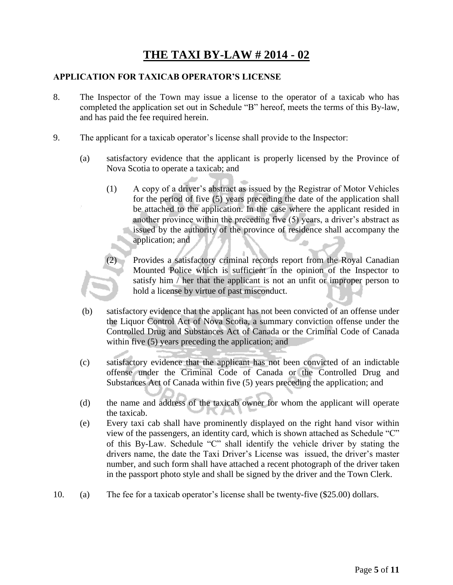#### **APPLICATION FOR TAXICAB OPERATOR'S LICENSE**

- 8. The Inspector of the Town may issue a license to the operator of a taxicab who has completed the application set out in Schedule "B" hereof, meets the terms of this By-law, and has paid the fee required herein.
- 9. The applicant for a taxicab operator's license shall provide to the Inspector:
	- (a) satisfactory evidence that the applicant is properly licensed by the Province of Nova Scotia to operate a taxicab; and
		- (1) A copy of a driver's abstract as issued by the Registrar of Motor Vehicles for the period of five (5) years preceding the date of the application shall be attached to the application. In the case where the applicant resided in another province within the preceding five (5) years, a driver's abstract as issued by the authority of the province of residence shall accompany the application; and
			- Provides a satisfactory criminal records report from the Royal Canadian Mounted Police which is sufficient in the opinion of the Inspector to satisfy him / her that the applicant is not an unfit or improper person to hold a license by virtue of past misconduct.
	- (b) satisfactory evidence that the applicant has not been convicted of an offense under the Liquor Control Act of Nova Scotia, a summary conviction offense under the Controlled Drug and Substances Act of Canada or the Criminal Code of Canada within five (5) years preceding the application; and
	- (c) satisfactory evidence that the applicant has not been convicted of an indictable offense under the Criminal Code of Canada or the Controlled Drug and Substances Act of Canada within five (5) years preceding the application; and
	- (d) the name and address of the taxicab owner for whom the applicant will operate the taxicab.
	- (e) Every taxi cab shall have prominently displayed on the right hand visor within view of the passengers, an identity card, which is shown attached as Schedule "C" of this By-Law. Schedule "C" shall identify the vehicle driver by stating the drivers name, the date the Taxi Driver's License was issued, the driver's master number, and such form shall have attached a recent photograph of the driver taken in the passport photo style and shall be signed by the driver and the Town Clerk.
- 10. (a) The fee for a taxicab operator's license shall be twenty-five (\$25.00) dollars.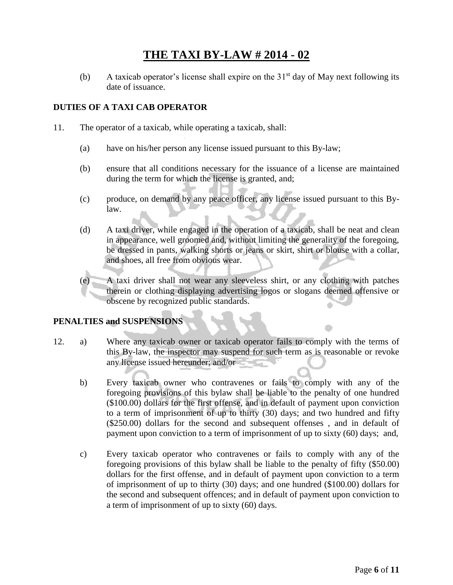(b) A taxicab operator's license shall expire on the  $31<sup>st</sup>$  day of May next following its date of issuance.

#### **DUTIES OF A TAXI CAB OPERATOR**

- 11. The operator of a taxicab, while operating a taxicab, shall:
	- (a) have on his/her person any license issued pursuant to this By-law;
	- (b) ensure that all conditions necessary for the issuance of a license are maintained during the term for which the license is granted, and;
	- (c) produce, on demand by any peace officer, any license issued pursuant to this Bylaw.
	- (d) A taxi driver, while engaged in the operation of a taxicab, shall be neat and clean in appearance, well groomed and, without limiting the generality of the foregoing, be dressed in pants, walking shorts or jeans or skirt, shirt or blouse with a collar, and shoes, all free from obvious wear.
	- (e) A taxi driver shall not wear any sleeveless shirt, or any clothing with patches therein or clothing displaying advertising logos or slogans deemed offensive or obscene by recognized public standards.

#### **PENALTIES and SUSPENSIONS**

- 12. a) Where any taxicab owner or taxicab operator fails to comply with the terms of this By-law, the inspector may suspend for such term as is reasonable or revoke any license issued hereunder; and/or
	- b) Every taxicab owner who contravenes or fails to comply with any of the foregoing provisions of this bylaw shall be liable to the penalty of one hundred (\$100.00) dollars for the first offense, and in default of payment upon conviction to a term of imprisonment of up to thirty (30) days; and two hundred and fifty (\$250.00) dollars for the second and subsequent offenses , and in default of payment upon conviction to a term of imprisonment of up to sixty (60) days; and,
	- c) Every taxicab operator who contravenes or fails to comply with any of the foregoing provisions of this bylaw shall be liable to the penalty of fifty (\$50.00) dollars for the first offense, and in default of payment upon conviction to a term of imprisonment of up to thirty (30) days; and one hundred (\$100.00) dollars for the second and subsequent offences; and in default of payment upon conviction to a term of imprisonment of up to sixty (60) days.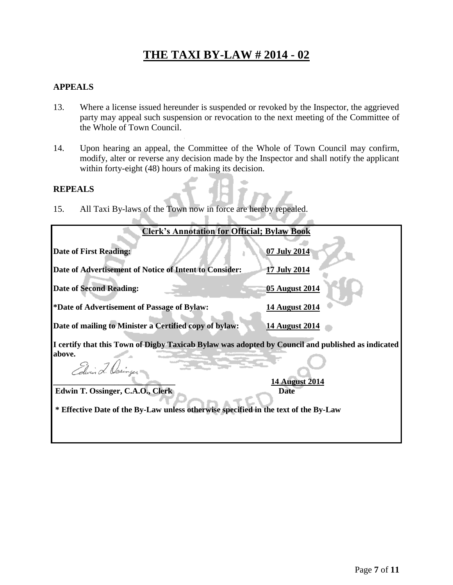#### **APPEALS**

- 13. Where a license issued hereunder is suspended or revoked by the Inspector, the aggrieved party may appeal such suspension or revocation to the next meeting of the Committee of the Whole of Town Council.
- 14. Upon hearing an appeal, the Committee of the Whole of Town Council may confirm, modify, alter or reverse any decision made by the Inspector and shall notify the applicant within forty-eight (48) hours of making its decision.

**All Part** 

'n.

#### **REPEALS**

15. All Taxi By-laws of the Town now in force are hereby repealed.

**COLLECTION** 

| <b>Clerk's Annotation for Official; Bylaw Book</b>                                                |                               |  |
|---------------------------------------------------------------------------------------------------|-------------------------------|--|
| <b>Date of First Reading:</b>                                                                     | 07 July 2014                  |  |
| Date of Advertisement of Notice of Intent to Consider:                                            | <b>17 July 2014</b>           |  |
| <b>Date of Second Reading:</b>                                                                    | 05 August 2014                |  |
| *Date of Advertisement of Passage of Bylaw:                                                       | <b>14 August 2014</b>         |  |
| Date of mailing to Minister a Certified copy of bylaw:                                            | 14 August 2014                |  |
| I certify that this Town of Digby Taxicab Bylaw was adopted by Council and published as indicated |                               |  |
| above.<br>Edwin 2. Osinger                                                                        |                               |  |
| Edwin T. Ossinger, C.A.O., Clerk                                                                  | <b>14 August 2014</b><br>Date |  |
| * Effective Date of the By-Law unless otherwise specified in the text of the By-Law               |                               |  |
|                                                                                                   |                               |  |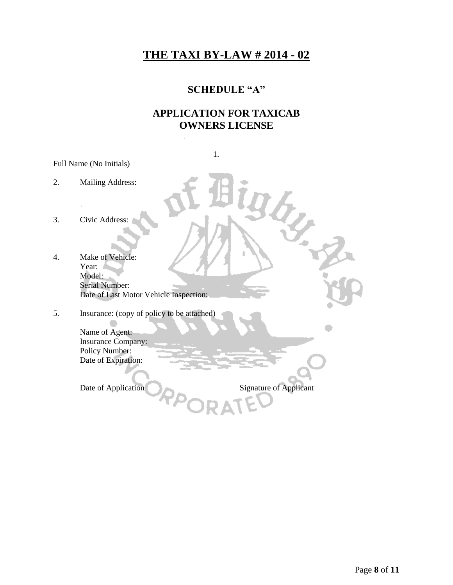### **SCHEDULE "A"**

### **APPLICATION FOR TAXICAB OWNERS LICENSE**

|                         | 1.                                                                                                                                                                                         |  |
|-------------------------|--------------------------------------------------------------------------------------------------------------------------------------------------------------------------------------------|--|
| Full Name (No Initials) |                                                                                                                                                                                            |  |
| 2.                      | <b>Mailing Address:</b>                                                                                                                                                                    |  |
| 3.                      | Civic Address:                                                                                                                                                                             |  |
| 4.                      | Make of Vehicle:<br>Year:<br>Model:<br><b>Serial Number:</b><br>Date of Last Motor Vehicle Inspection:                                                                                     |  |
| 5.                      | Insurance: (copy of policy to be attached)<br>Name of Agent:<br><b>Insurance Company:</b><br>Policy Number:<br>Date of Expiration:<br><b>Signature of Applicant</b><br>Date of Application |  |
|                         |                                                                                                                                                                                            |  |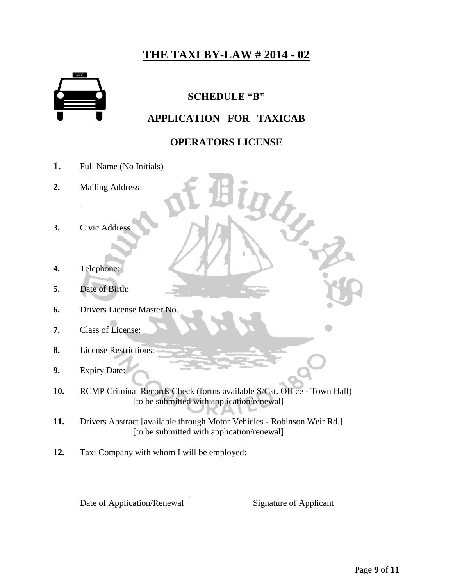

### **SCHEDULE "B"**

### **APPLICATION FOR TAXICAB**

### **OPERATORS LICENSE**

ì

I j

- 1. Full Name (No Initials)
- **2.** Mailing Address
- **3.** Civic Address
- **4.** Telephone:
- **5.** Date of Birth:
- **6.** Drivers License Master No.
- **7.** Class of License:
- **8.** License Restrictions:
- **9.** Expiry Date:

 $\overline{a}$ 

**10.** RCMP Criminal Records Check (forms available S/Cst. Office - Town Hall) [to be submitted with application/renewal]

m

- **11.** Drivers Abstract [available through Motor Vehicles Robinson Weir Rd.] [to be submitted with application/renewal]
- **12.** Taxi Company with whom I will be employed:

Date of Application/Renewal Signature of Applicant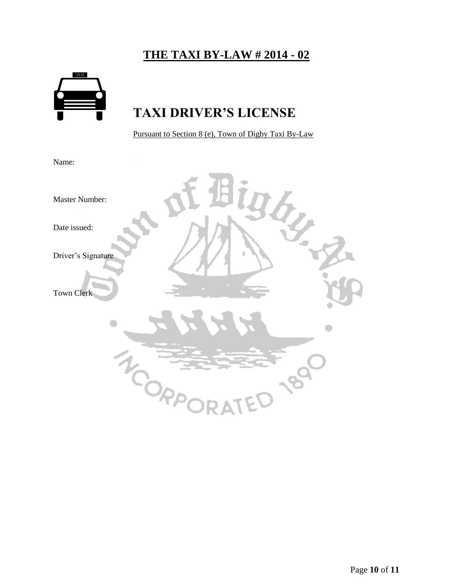

# **TAXI DRIVER'S LICENSE**

Pursuant to Section 8 (e), Town of Digby Taxi By-Law